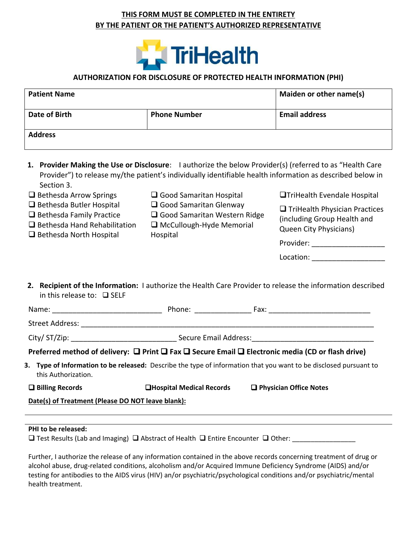## **THIS FORM MUST BE COMPLETED IN THE ENTIRETY BY THE PATIENT OR THE PATIENT'S AUTHORIZED REPRESENTATIVE**



## **AUTHORIZATION FOR DISCLOSURE OF PROTECTED HEALTH INFORMATION (PHI)**

| <b>Patient Name</b> |                     | Maiden or other name(s) |
|---------------------|---------------------|-------------------------|
| Date of Birth       | <b>Phone Number</b> | <b>Email address</b>    |
| <b>Address</b>      |                     |                         |

**1. Provider Making the Use or Disclosure**: I authorize the below Provider(s) (referred to as "Health Care Provider") to release my/the patient's individually identifiable health information as described below in Section 3.

| Secuon 3.                                                                                                                                   |                                                                                                                |                                                                                                            |  |
|---------------------------------------------------------------------------------------------------------------------------------------------|----------------------------------------------------------------------------------------------------------------|------------------------------------------------------------------------------------------------------------|--|
| $\Box$ Bethesda Arrow Springs                                                                                                               | $\Box$ Good Samaritan Hospital                                                                                 | <b>OTriHealth Evendale Hospital</b>                                                                        |  |
| $\Box$ Bethesda Butler Hospital<br>$\Box$ Bethesda Family Practice<br>$\Box$ Bethesda Hand Rehabilitation<br>$\Box$ Bethesda North Hospital | $\Box$ Good Samaritan Glenway<br>□ Good Samaritan Western Ridge<br>$\Box$ McCullough-Hyde Memorial<br>Hospital | $\Box$ TriHealth Physician Practices<br>(including Group Health and<br>Queen City Physicians)<br>Provider: |  |
|                                                                                                                                             |                                                                                                                | Location:                                                                                                  |  |
|                                                                                                                                             |                                                                                                                |                                                                                                            |  |
|                                                                                                                                             |                                                                                                                |                                                                                                            |  |

**2. Recipient of the Information:** I authorize the Health Care Provider to release the information described in this release to: ❑ SELF

|                                                                                                                | Phone: and the state of the state of the state of the state of the state of the state of the state of the state of the state of the state of the state of the state of the state of the state of the state of the state of the | Fax: $\frac{1}{2}$                                                                                                    |
|----------------------------------------------------------------------------------------------------------------|--------------------------------------------------------------------------------------------------------------------------------------------------------------------------------------------------------------------------------|-----------------------------------------------------------------------------------------------------------------------|
| Street Address: The Contract of the Contract of the Contract of the Contract of the Contract of the Contract o |                                                                                                                                                                                                                                |                                                                                                                       |
|                                                                                                                |                                                                                                                                                                                                                                |                                                                                                                       |
|                                                                                                                |                                                                                                                                                                                                                                | Preferred method of delivery: $\Box$ Print $\Box$ Fax $\Box$ Secure Email $\Box$ Electronic media (CD or flash drive) |
| this Authorization.                                                                                            |                                                                                                                                                                                                                                | 3. Type of Information to be released: Describe the type of information that you want to be disclosed pursuant to     |
| $\Box$ Billing Records                                                                                         | <b>QHospital Medical Records</b>                                                                                                                                                                                               | $\Box$ Physician Office Notes                                                                                         |
| Date(s) of Treatment (Please DO NOT leave blank):                                                              |                                                                                                                                                                                                                                |                                                                                                                       |

## **PHI to be released:**

❑ Test Results (Lab and Imaging) ❑ Abstract of Health ❑ Entire Encounter ❑ Other: \_\_\_\_\_\_\_\_\_\_\_\_\_\_\_\_\_

Further, I authorize the release of any information contained in the above records concerning treatment of drug or alcohol abuse, drug-related conditions, alcoholism and/or Acquired Immune Deficiency Syndrome (AIDS) and/or testing for antibodies to the AIDS virus (HIV) an/or psychiatric/psychological conditions and/or psychiatric/mental health treatment.